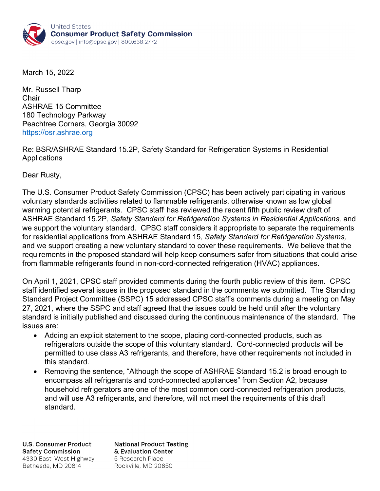

March 15, 2022

Mr. Russell Tharp **Chair** ASHRAE 15 Committee 180 Technology Parkway Peachtree Corners, Georgia 30092 https://osr.ashrae.org

Re: BSR/ASHRAE Standard 15.2P, Safety Standard for Refrigeration Systems in Residential **Applications** 

Dear Rusty,

The U.S. Consumer Product Safety Commission (CPSC) has been actively participating in various voluntary standards activities related to flammable refrigerants, otherwise known as low global warming potential refrigerants. CPSC staff<sup>i</sup> has reviewed the recent fifth public review draft of ASHRAE Standard 15.2P, *Safety Standard for Refrigeration Systems in Residential Applications,* and we support the voluntary standard. CPSC staff considers it appropriate to separate the requirements for residential applications from ASHRAE Standard 15, *Safety Standard for Refrigeration Systems,* and we support creating a new voluntary standard to cover these requirements. We believe that the requirements in the proposed standard will help keep consumers safer from situations that could arise from flammable refrigerants found in non-cord-connected refrigeration (HVAC) appliances.

On April 1, 2021, CPSC staff provided comments during the fourth public review of this item. CPSC staff identified several issues in the proposed standard in the comments we submitted. The Standing Standard Project Committee (SSPC) 15 addressed CPSC staff's comments during a meeting on May 27, 2021, where the SSPC and staff agreed that the issues could be held until after the voluntary standard is initially published and discussed during the continuous maintenance of the standard. The issues are:

- Adding an explicit statement to the scope, placing cord-connected products, such as refrigerators outside the scope of this voluntary standard. Cord-connected products will be permitted to use class A3 refrigerants, and therefore, have other requirements not included in this standard.
- Removing the sentence, "Although the scope of ASHRAE Standard 15.2 is broad enough to encompass all refrigerants and cord-connected appliances" from Section A2, because household refrigerators are one of the most common cord-connected refrigeration products, and will use A3 refrigerants, and therefore, will not meet the requirements of this draft standard.

**U.S. Consumer Product Safety Commission** 4330 East-West Highway Bethesda, MD 20814

**National Product Testing** & Evaluation Center 5 Research Place Rockville, MD 20850